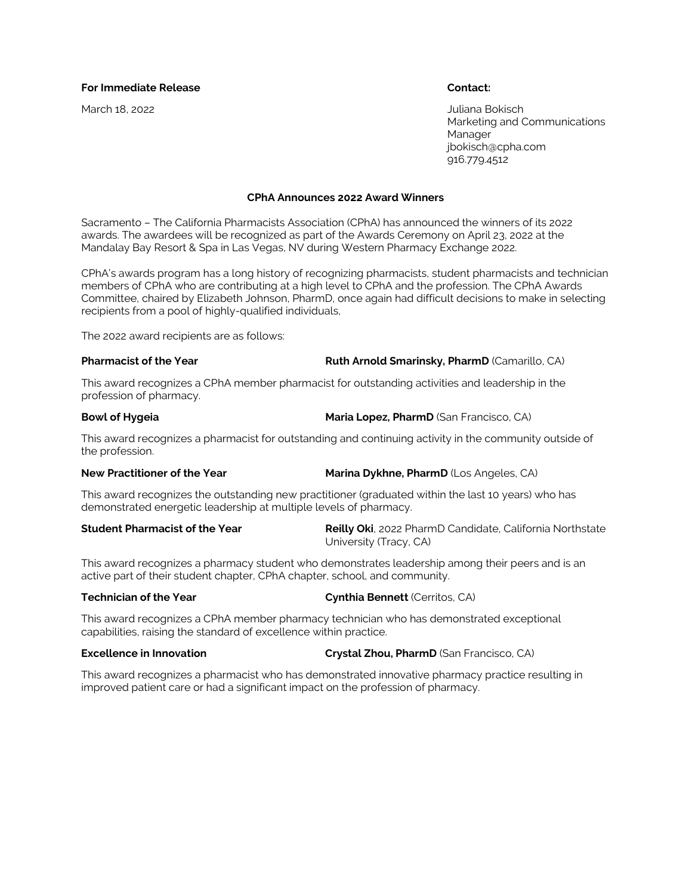## **For Immediate Release Contact:**

March 18, 2022 Juliana Bokisch Marketing and Communications Manager jbokisch@cpha.com 916.779.4512

### **CPhA Announces 2022 Award Winners**

Sacramento – The California Pharmacists Association (CPhA) has announced the winners of its 2022 awards. The awardees will be recognized as part of the Awards Ceremony on April 23, 2022 at the Mandalay Bay Resort & Spa in Las Vegas, NV during Western Pharmacy Exchange 2022.

CPhA's awards program has a long history of recognizing pharmacists, student pharmacists and technician members of CPhA who are contributing at a high level to CPhA and the profession. The CPhA Awards Committee, chaired by Elizabeth Johnson, PharmD, once again had difficult decisions to make in selecting recipients from a pool of highly-qualified individuals,

The 2022 award recipients are as follows:

## **Pharmacist of the Year Ruth Arnold Smarinsky, PharmD** (Camarillo, CA)

This award recognizes a CPhA member pharmacist for outstanding activities and leadership in the profession of pharmacy.

### **Bowl of Hygeia Maria Lopez, PharmD** (San Francisco, CA)

This award recognizes a pharmacist for outstanding and continuing activity in the community outside of the profession.

## **New Practitioner of the Year <b>Marina Dykhne, PharmD** (Los Angeles, CA)

This award recognizes the outstanding new practitioner (graduated within the last 10 years) who has demonstrated energetic leadership at multiple levels of pharmacy.

**Student Pharmacist of the Year Reilly Oki**, 2022 PharmD Candidate, California Northstate University (Tracy, CA)

This award recognizes a pharmacy student who demonstrates leadership among their peers and is an active part of their student chapter, CPhA chapter, school, and community.

## **Technician of the Year Cynthia Bennett** (Cerritos, CA)

This award recognizes a CPhA member pharmacy technician who has demonstrated exceptional capabilities, raising the standard of excellence within practice.

**Excellence in Innovation Crystal Zhou, PharmD** (San Francisco, CA)

This award recognizes a pharmacist who has demonstrated innovative pharmacy practice resulting in improved patient care or had a significant impact on the profession of pharmacy.